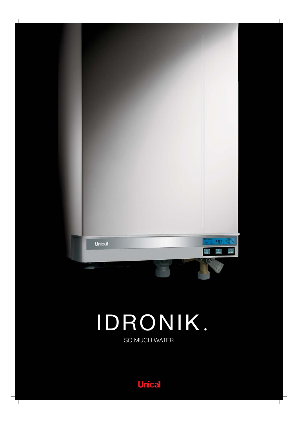

# IDRONIK

SO MUCH WATER

**Unical**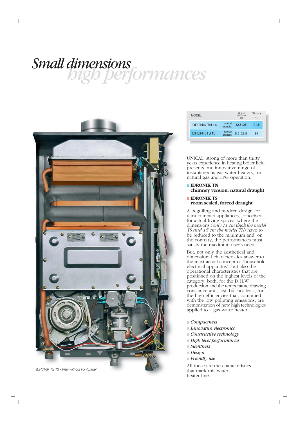## *high performances Small dimensions*



| <b>MODEL</b>         |                    | Output<br>min/max<br>kW | Efficiency<br>% |  |
|----------------------|--------------------|-------------------------|-----------------|--|
| <b>IDRONIK TN 14</b> | natural<br>draught | $12,5+25$               | 91,5            |  |
| <b>IDRONIK TS13</b>  | forced<br>draught  | $8,5+22,5$              | 91              |  |
|                      |                    |                         |                 |  |

UNICAL, strong of more than thirty years experience in heating boiler field, presents one innovative range of instantaneous gas water heaters, for natural gas and LPG operation.

#### **IDRONIK TN chimney version, natural draught**

#### **IDRONIK TS room sealed, forced draught**

A beguiling and modern design for ultra-compact appliances, conceived for actual living spaces, where the dimensions (*only 11 cm thick the model TS and 15 cm the model TN*) have to be reduced to the minimum and, on the contrary, the performances must satisfy the maximum user's needs.

But, not only the aesthetical and dimensional characteristics answer to the most actual concept of "household electrical apparatus", but also the operational characteristics that are positioned on the highest levels of the category, both, for the D.H.W. production and the temperature drawing constance and, last, but not least, for the high efficiencies that, combined with the low polluting emissions, are demonstration of new high technologies applied to a gas water heater.

- *Compactness*
- *Innovative electronics*
- *Constructive technology*
- *High level performances*
- *Silentness*
- *Design*
- *Friendly use*

All these are the characteristics that mark this water heater line.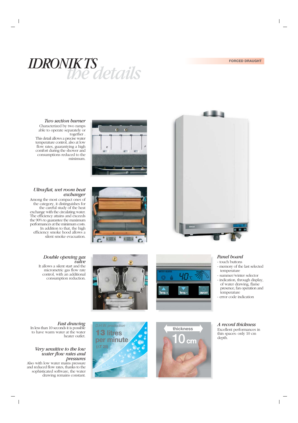

#### *Two section burner*

Characterized by two ramps able to operate separately or together .

This detail allows a precise water temperature control, also at low flow rates, guarantying a high comfort during the shower and consumptions reduced to the minimum.

#### *Ultra-flat, wet room heat exchanger*

Among the most compact ones of the category, it distinguishes for the careful study of the heat exchange with the circulating water. The efficiency attains and exceeds the 90% to guarantee the maximum performances at the minimum costs. In addition to that, the high efficiency smoke hood allows a silent smoke evacuation.











#### *Panel board*

- touch buttons
- memory of the last selected temperature
- summer/winter selector
- indication, through display, of water drawing, flame presence, fan operation and temperature
- error code indication

#### *Fast drawing*

In less than 10 seconds it is possible to have warm water at the water heater outlet.

#### *Very sensitive to the low water flow rates and pressures*

Also with low water mains pressure and reduced flow rates, thanks to the sophisticated software, the water drawing remains constant.

*D.H.W. production* **13 litres per minute**

**(**∆**T 25)**







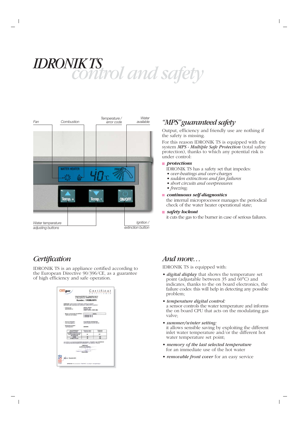# *control and safety IDRONIK TS*

| Fan                                    | Combustion          |       | Temperature /<br>error code | Water<br>available              |
|----------------------------------------|---------------------|-------|-----------------------------|---------------------------------|
|                                        |                     |       |                             |                                 |
|                                        |                     |       |                             |                                 |
|                                        | <b>WATER HEATER</b> |       |                             |                                 |
|                                        |                     |       |                             |                                 |
|                                        | Temp. +             | Temp. | ON/OFF                      |                                 |
|                                        |                     |       |                             |                                 |
| Water temperature<br>adjusting buttons |                     |       |                             | Ignition /<br>extinction button |

## *Certification*

IDRONIK TS is an appliance certified according to the European Directive 90/396/CE, as a guarantee of high efficiency and safe operation.

| CERTIgaz                                                                                                                                                                         |                                                                                          | Certificat               |
|----------------------------------------------------------------------------------------------------------------------------------------------------------------------------------|------------------------------------------------------------------------------------------|--------------------------|
|                                                                                                                                                                                  | (Directives 90/396/CEE + Apparells & gaz >)<br>in Gas appliances > 90/396/EEC Directive) |                          |
|                                                                                                                                                                                  | Numéro: 1312BU5075                                                                       |                          |
| CERTIGAZ, après examen el véritcatoris, certife que l'appareil :<br>CERTICAZ, after examination and verifications, certifies that the appliance :                                |                                                                                          |                          |
| - Fabricul par :<br>Manufactured by:                                                                                                                                             | UNICAL AG SpA<br>Via Roma, 123<br><b>LABO33 CASTEL D'ARIO (MN)</b>                       |                          |
| Marque commerciale et modèle(s) :<br>Trade mark and incollector                                                                                                                  | UNICAL<br>> IDRONIK TS 13<br>> IDRONECTN 14                                              |                          |
| - Genre de l'appareil :<br>Kind of the appliance :                                                                                                                               | CHAUFFE EAU INSTANTANE<br>INSTANTANEOUS WATER HEATER                                     |                          |
| - Designation du type :<br>Tuese classics artists :                                                                                                                              | <b>IDRONIK</b>                                                                           |                          |
| Pays de destination<br><b><i>Cashination countries</i></b>                                                                                                                       | <b>Pressions Inthart</b><br><b>Pressures (milet)</b>                                     | Categories<br>Categories |
| DEAR ROTATION AND<br>AT CH-TR-HR-CZ-SK-SI<br>BG-CN-RU-RO                                                                                                                         | 28                                                                                       | <b>IZM</b>               |
| <b>HU-BA</b>                                                                                                                                                                     | Ħ                                                                                        | <b>ISM</b>               |
| LV-EE-LT-PL-LU                                                                                                                                                                   | ×                                                                                        | 128                      |
| est contame aux exigences essentelles des directives « Apparells à par » 90/396/CEE<br>is in conformity with expertise requirements of \$92006/EEC + Gas appliances + Directive. | CERTICAZ<br>Le Directeur Général.<br>Kris DE WITT                                        |                          |
| cafese<br>In : 18 January 2010                                                                                                                                                   |                                                                                          |                          |

### *"MPS" guaranteed safety*

Output, efficiency and friendly use are nothing if the safety is missing.

For this reason IDRONIK TS is equipped with the system *MPS - Multiple Safe Protection* (total safety protection), thanks to which any potential risk is under control:

#### **protections**

IDRONIK TS has a safety set that impedes:

- *over-heatings and over-charges*
- *sudden extinctions and fan failures*
- *short circuits and overpressures*
- *freezing;*

#### *continuous self-diagnostics*

the internal microprocessor manages the periodical check of the water heater operational state;

*safety lockout*

it cuts the gas to the burner in case of serious failures.

### *And more…*

IDRONIK TS is equipped with:

- *digital display* that shows the temperature set point (adjustable between  $35$  and  $60^{\circ}$ C) and indicates, thanks to the on board electronics, the failure codes: this will help in detecting any possible problem;
- *temperature digital control:* a sensor controls the water temperature and informs the on board CPU that acts on the modulating gas valve;
- *summer/winter setting:* it allows sensible saving by exploiting the different inlet water temperature and/or the different hot water temperature set point;
- *memory of the last selected temperature* for an immediate use of the hot water
- *removable front cover* for an easy service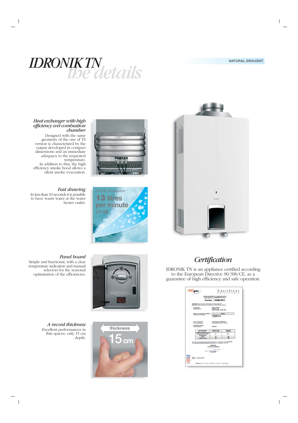

#### *Heat exchanger with high efficiency wet combustion chamber*

Designed with the same geometry of the one of TS version is characterized by the output developed in compact dimensions and an immediate adequacy to the requested temperature. In addition to that, the high efficiency smoke hood allows a silent smoke evacuation.

#### *Fast drawing*

In less than 10 seconds it is possible to have warm water at the water heater outlet.







#### *Panel board*

Simple and functional, with a clear temperature indication and manual selectors for the seasonal optimisation of the efficiencies.





*A record thickness* Excellent performances in thin spaces: only 15 cm depth.

## *Certification*

IDRONIK TN is an appliance certified according to the European Directive 90/396/CE, as a guarantee of high efficiency and safe operation.

|                                                                                                                                                                                 |                                                                                          | Certificat               |  |
|---------------------------------------------------------------------------------------------------------------------------------------------------------------------------------|------------------------------------------------------------------------------------------|--------------------------|--|
|                                                                                                                                                                                 | (Directives 90/396/CEE + Apparells & gaz >)<br>in Gas appliances > 90/396/EEC Directive) |                          |  |
|                                                                                                                                                                                 | Numéro: 1312BU5075                                                                       |                          |  |
| CERTIGAZ, après examen et vérifications, certife que l'appareil :<br>CERTICAZ, after examination and verfications, certifies that the appliance :                               |                                                                                          |                          |  |
| - Fabrique par :<br>Manufactured by:                                                                                                                                            | UNICAL AG SpA<br>Via Roma, 123<br>1-46033 CASTEL D'ARIO (MN)                             |                          |  |
| Marque commerciale et modèle(s) :                                                                                                                                               |                                                                                          | UNICAL                   |  |
| Trade mark and incidelist /                                                                                                                                                     | > IDRONIK TS 13<br>> IDRONIK TN 14                                                       |                          |  |
| - Genra de l'appareil :<br>Kind of the appliance :                                                                                                                              | CHALIFFE EALL NISTANTANE<br>INSTANTANEOUS WATER HEATER                                   |                          |  |
| - Designation du type :<br>Type designation :                                                                                                                                   | <b>IDRONIK</b>                                                                           |                          |  |
| Pays de destination<br><b>Seafination countries</b>                                                                                                                             | <b>Pressions Inthart</b><br><b>Pressures (miler)</b>                                     | Categories<br>Categories |  |
| <b>15-GB-IE-IT-PT-GR-SE-NO-</b><br>AT CH-TR-HR-CZ-SK-SI<br><b>BG-CN-RU-RO</b>                                                                                                   | 28                                                                                       | <b>ISH</b>               |  |
| <b>HU-BA</b>                                                                                                                                                                    | 28                                                                                       | <b>IZM</b>               |  |
| LV-EE-LT-PL-LU                                                                                                                                                                  | 26                                                                                       | वा                       |  |
| est contarme aux exigences executielles des directives « Apparella à gas » BODI6CEE<br>is in conformity with ensemble requirements of \$0/300/EEC + Gas appliances + Directive. | <b>CERTIGAZ</b><br>Le Directeur Général.<br><b>Kris DE WITT</b>                          |                          |  |
| cafese<br>in : 18 janvier 2010                                                                                                                                                  |                                                                                          |                          |  |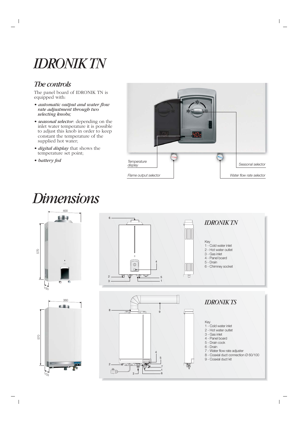# *IDRONIK TN*

## *The controls*

The panel board of IDRONIK TN is equipped with:

- *automatic output and water flow rate adjustment through two selecting knobs;*
- *seasonal selector*: depending on the inlet water temperature it is possible to adjust this knob in order to keep constant the temperature of the supplied hot water;
- *digital display* that shows the temperature set point;

• *battery fed*



# *Dimensions*

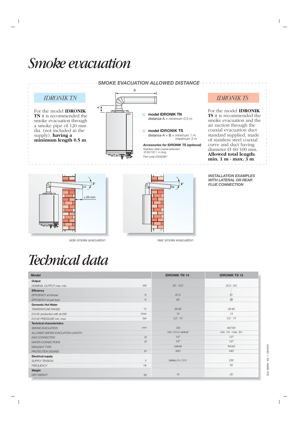# *Smoke evacuation*





<del>□</del>

≥ 20 mm

| <b>Model</b>                     |             | <b>IDRONIK TN 14</b>     | <b>IDRONIK TS 13</b> |
|----------------------------------|-------------|--------------------------|----------------------|
| Output                           |             |                          |                      |
| NOMINAL OUTPUT max.-min.         | kW          | $25 - 12,5$              | $22,5 - 8,5$         |
| Efficiency                       |             |                          |                      |
| <b>EFFICIENCY at full load</b>   | %           | 91,5                     | 91                   |
| EFFICIENCY at part load          | %           | 90                       | 89                   |
| <b>Domestic Hot Water</b>        |             |                          |                      |
| <b>TEMPERATURE RANGE</b>         | $^{\circ}C$ | $35 - 60$                | 35-60                |
| D.H.W. production with At 25K    | $V$ min     | 14                       | 13                   |
| D.H.W. PRESSURE min.-max.        | bar         | $0,2 - 10$               | $0.2 - 10$           |
| <b>Technical characteristics</b> |             |                          |                      |
| <b>SMOKE EVACUATION</b>          | mm          | 120                      | 60/100               |
| ALLOWED SMOKE EVACUATION LENGTH  |             | min. 0.5 m vertical      | $min. 1m - max. 3m$  |
| <b>GAS CONNECTION</b>            | Ø           | 1/2"                     | 1/2"                 |
| <b>WATER CONNECTIONS</b>         | Ø           | 1/2"                     | 1/2"                 |
| <b>DRAUGHT TYPE</b>              |             | natural                  | forced               |
| PROTECTION DEGREE                | IP          | X2D                      | X4D                  |
| <b>Electrical supply</b>         |             |                          |                      |
| <b>SUPPLY TENSION</b>            | $\vee$      | battery $2 \times 1.5 V$ | 230                  |
| <b>FREQUENCY</b>                 | Hz          |                          | 50                   |
| Weight                           |             |                          |                      |
| <b>DRY WEIGHT</b>                | kg          | 15                       | 20                   |